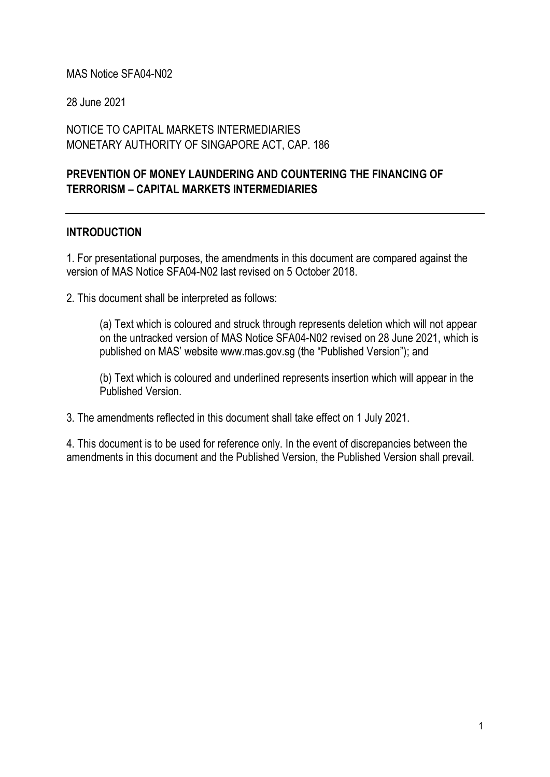#### MAS Notice SFA04-N02

28 June 2021

NOTICE TO CAPITAL MARKETS INTERMEDIARIES MONETARY AUTHORITY OF SINGAPORE ACT, CAP. 186

## PREVENTION OF MONEY LAUNDERING AND COUNTERING THE FINANCING OF TERRORISM – CAPITAL MARKETS INTERMEDIARIES

#### INTRODUCTION

1. For presentational purposes, the amendments in this document are compared against the version of MAS Notice SFA04-N02 last revised on 5 October 2018.

2. This document shall be interpreted as follows:

(a) Text which is coloured and struck through represents deletion which will not appear on the untracked version of MAS Notice SFA04-N02 revised on 28 June 2021, which is published on MAS' website www.mas.gov.sg (the "Published Version"); and

(b) Text which is coloured and underlined represents insertion which will appear in the Published Version.

3. The amendments reflected in this document shall take effect on 1 July 2021.

4. This document is to be used for reference only. In the event of discrepancies between the amendments in this document and the Published Version, the Published Version shall prevail.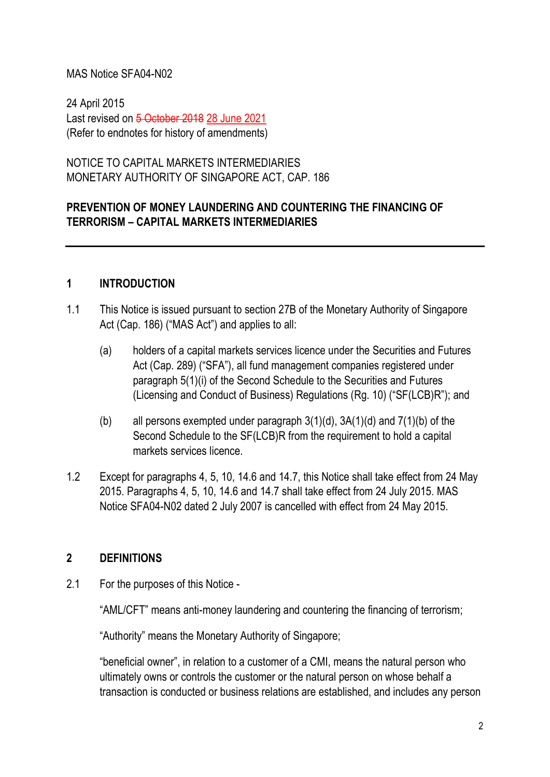#### MAS Notice SFA04-N02

24 April 2015 Last revised on 5 October 2018 28 June 2021 (Refer to endnotes for history of amendments)

NOTICE TO CAPITAL MARKETS INTERMEDIARIES MONETARY AUTHORITY OF SINGAPORE ACT, CAP. 186

## PREVENTION OF MONEY LAUNDERING AND COUNTERING THE FINANCING OF TERRORISM – CAPITAL MARKETS INTERMEDIARIES

#### 1 INTRODUCTION

- 1.1 This Notice is issued pursuant to section 27B of the Monetary Authority of Singapore Act (Cap. 186) ("MAS Act") and applies to all:
	- (a) holders of a capital markets services licence under the Securities and Futures Act (Cap. 289) ("SFA"), all fund management companies registered under paragraph 5(1)(i) of the Second Schedule to the Securities and Futures (Licensing and Conduct of Business) Regulations (Rg. 10) ("SF(LCB)R"); and
	- (b) all persons exempted under paragraph 3(1)(d), 3A(1)(d) and 7(1)(b) of the Second Schedule to the SF(LCB)R from the requirement to hold a capital markets services licence.
- 1.2 Except for paragraphs 4, 5, 10, 14.6 and 14.7, this Notice shall take effect from 24 May 2015. Paragraphs 4, 5, 10, 14.6 and 14.7 shall take effect from 24 July 2015. MAS Notice SFA04-N02 dated 2 July 2007 is cancelled with effect from 24 May 2015.

## 2 DEFINITIONS

2.1 For the purposes of this Notice -

"AML/CFT" means anti-money laundering and countering the financing of terrorism;

"Authority" means the Monetary Authority of Singapore;

"beneficial owner", in relation to a customer of a CMI, means the natural person who ultimately owns or controls the customer or the natural person on whose behalf a transaction is conducted or business relations are established, and includes any person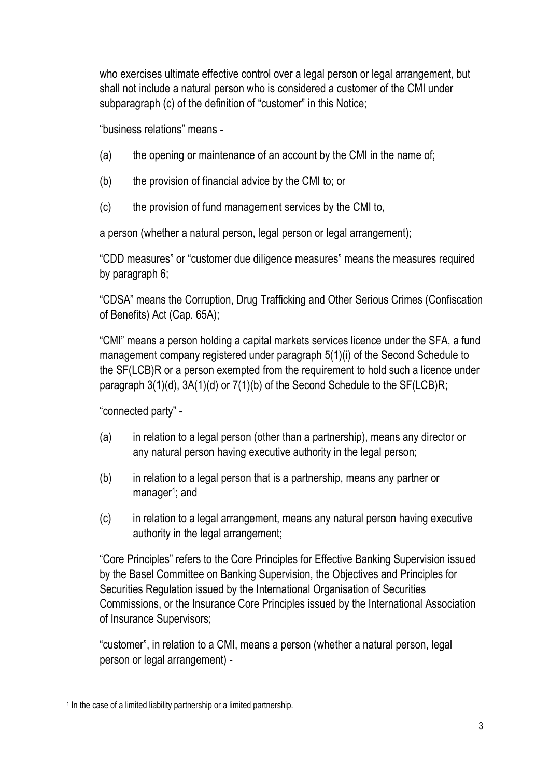who exercises ultimate effective control over a legal person or legal arrangement, but shall not include a natural person who is considered a customer of the CMI under subparagraph (c) of the definition of "customer" in this Notice;

"business relations" means -

- (a) the opening or maintenance of an account by the CMI in the name of;
- (b) the provision of financial advice by the CMI to; or
- (c) the provision of fund management services by the CMI to,

a person (whether a natural person, legal person or legal arrangement);

"CDD measures" or "customer due diligence measures" means the measures required by paragraph 6;

"CDSA" means the Corruption, Drug Trafficking and Other Serious Crimes (Confiscation of Benefits) Act (Cap. 65A);

"CMI" means a person holding a capital markets services licence under the SFA, a fund management company registered under paragraph 5(1)(i) of the Second Schedule to the SF(LCB)R or a person exempted from the requirement to hold such a licence under paragraph 3(1)(d), 3A(1)(d) or 7(1)(b) of the Second Schedule to the SF(LCB)R;

"connected party" -

- (a) in relation to a legal person (other than a partnership), means any director or any natural person having executive authority in the legal person;
- (b) in relation to a legal person that is a partnership, means any partner or manager<sup>1</sup>; and
- (c) in relation to a legal arrangement, means any natural person having executive authority in the legal arrangement;

"Core Principles" refers to the Core Principles for Effective Banking Supervision issued by the Basel Committee on Banking Supervision, the Objectives and Principles for Securities Regulation issued by the International Organisation of Securities Commissions, or the Insurance Core Principles issued by the International Association of Insurance Supervisors;

"customer", in relation to a CMI, means a person (whether a natural person, legal person or legal arrangement) -

<sup>&</sup>lt;sup>1</sup> In the case of a limited liability partnership or a limited partnership.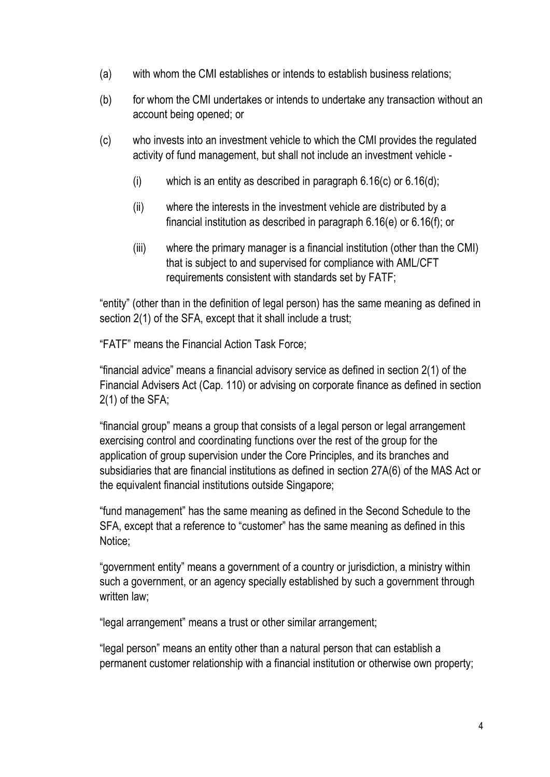- (a) with whom the CMI establishes or intends to establish business relations;
- (b) for whom the CMI undertakes or intends to undertake any transaction without an account being opened; or
- (c) who invests into an investment vehicle to which the CMI provides the regulated activity of fund management, but shall not include an investment vehicle -
	- (i) which is an entity as described in paragraph  $6.16(c)$  or  $6.16(d)$ ;
	- (ii) where the interests in the investment vehicle are distributed by a financial institution as described in paragraph 6.16(e) or 6.16(f); or
	- (iii) where the primary manager is a financial institution (other than the CMI) that is subject to and supervised for compliance with AML/CFT requirements consistent with standards set by FATF;

"entity" (other than in the definition of legal person) has the same meaning as defined in section 2(1) of the SFA, except that it shall include a trust;

"FATF" means the Financial Action Task Force;

"financial advice" means a financial advisory service as defined in section 2(1) of the Financial Advisers Act (Cap. 110) or advising on corporate finance as defined in section 2(1) of the SFA;

"financial group" means a group that consists of a legal person or legal arrangement exercising control and coordinating functions over the rest of the group for the application of group supervision under the Core Principles, and its branches and subsidiaries that are financial institutions as defined in section 27A(6) of the MAS Act or the equivalent financial institutions outside Singapore;

"fund management" has the same meaning as defined in the Second Schedule to the SFA, except that a reference to "customer" has the same meaning as defined in this Notice;

"government entity" means a government of a country or jurisdiction, a ministry within such a government, or an agency specially established by such a government through written law;

"legal arrangement" means a trust or other similar arrangement;

"legal person" means an entity other than a natural person that can establish a permanent customer relationship with a financial institution or otherwise own property;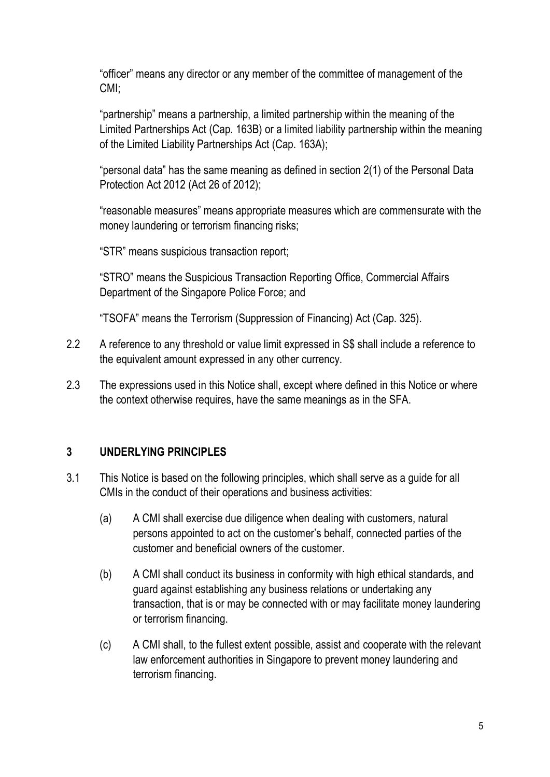"officer" means any director or any member of the committee of management of the CMI;

"partnership" means a partnership, a limited partnership within the meaning of the Limited Partnerships Act (Cap. 163B) or a limited liability partnership within the meaning of the Limited Liability Partnerships Act (Cap. 163A);

"personal data" has the same meaning as defined in section 2(1) of the Personal Data Protection Act 2012 (Act 26 of 2012);

"reasonable measures" means appropriate measures which are commensurate with the money laundering or terrorism financing risks;

"STR" means suspicious transaction report;

"STRO" means the Suspicious Transaction Reporting Office, Commercial Affairs Department of the Singapore Police Force; and

"TSOFA" means the Terrorism (Suppression of Financing) Act (Cap. 325).

- 2.2 A reference to any threshold or value limit expressed in S\$ shall include a reference to the equivalent amount expressed in any other currency.
- 2.3 The expressions used in this Notice shall, except where defined in this Notice or where the context otherwise requires, have the same meanings as in the SFA.

## 3 UNDERLYING PRINCIPLES

- 3.1 This Notice is based on the following principles, which shall serve as a guide for all CMIs in the conduct of their operations and business activities:
	- (a) A CMI shall exercise due diligence when dealing with customers, natural persons appointed to act on the customer's behalf, connected parties of the customer and beneficial owners of the customer.
	- (b) A CMI shall conduct its business in conformity with high ethical standards, and guard against establishing any business relations or undertaking any transaction, that is or may be connected with or may facilitate money laundering or terrorism financing.
	- (c) A CMI shall, to the fullest extent possible, assist and cooperate with the relevant law enforcement authorities in Singapore to prevent money laundering and terrorism financing.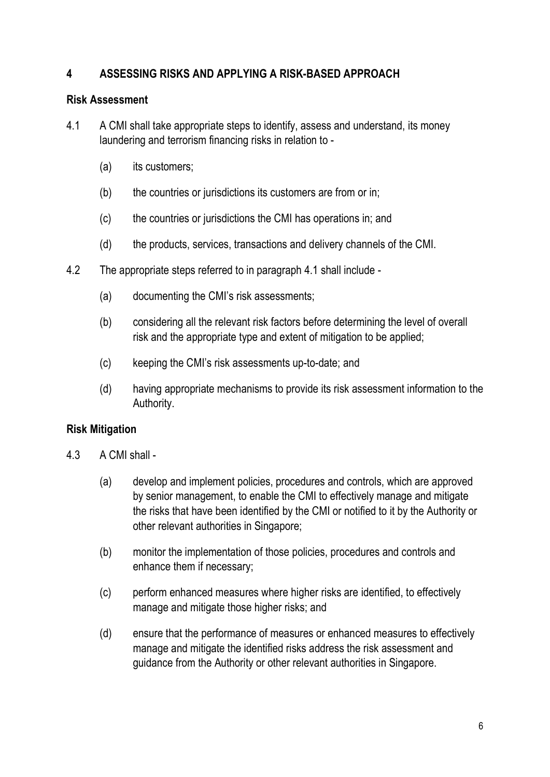## 4 ASSESSING RISKS AND APPLYING A RISK-BASED APPROACH

#### Risk Assessment

- 4.1 A CMI shall take appropriate steps to identify, assess and understand, its money laundering and terrorism financing risks in relation to -
	- (a) its customers;
	- (b) the countries or jurisdictions its customers are from or in;
	- (c) the countries or jurisdictions the CMI has operations in; and
	- (d) the products, services, transactions and delivery channels of the CMI.
- 4.2 The appropriate steps referred to in paragraph 4.1 shall include
	- (a) documenting the CMI's risk assessments;
	- (b) considering all the relevant risk factors before determining the level of overall risk and the appropriate type and extent of mitigation to be applied;
	- (c) keeping the CMI's risk assessments up-to-date; and
	- (d) having appropriate mechanisms to provide its risk assessment information to the Authority.

## Risk Mitigation

- 4.3 A CMI shall
	- (a) develop and implement policies, procedures and controls, which are approved by senior management, to enable the CMI to effectively manage and mitigate the risks that have been identified by the CMI or notified to it by the Authority or other relevant authorities in Singapore;
	- (b) monitor the implementation of those policies, procedures and controls and enhance them if necessary;
	- (c) perform enhanced measures where higher risks are identified, to effectively manage and mitigate those higher risks; and
	- (d) ensure that the performance of measures or enhanced measures to effectively manage and mitigate the identified risks address the risk assessment and guidance from the Authority or other relevant authorities in Singapore.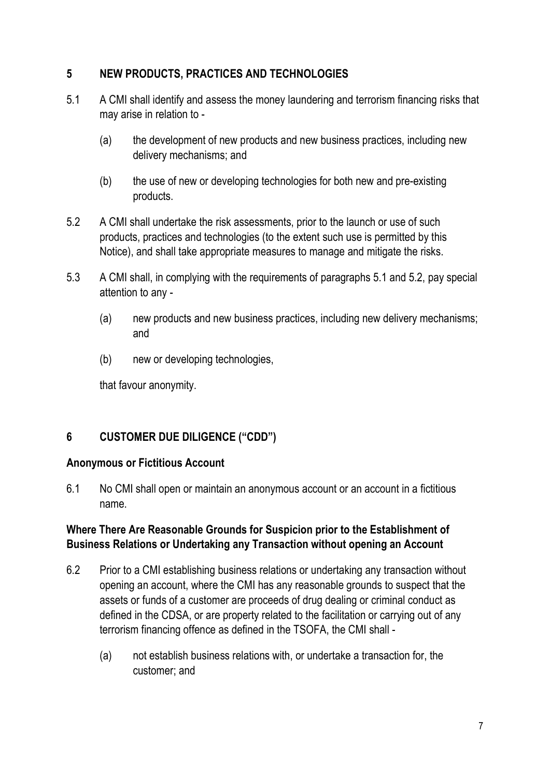# 5 NEW PRODUCTS, PRACTICES AND TECHNOLOGIES

- 5.1 A CMI shall identify and assess the money laundering and terrorism financing risks that may arise in relation to -
	- (a) the development of new products and new business practices, including new delivery mechanisms; and
	- (b) the use of new or developing technologies for both new and pre-existing products.
- 5.2 A CMI shall undertake the risk assessments, prior to the launch or use of such products, practices and technologies (to the extent such use is permitted by this Notice), and shall take appropriate measures to manage and mitigate the risks.
- 5.3 A CMI shall, in complying with the requirements of paragraphs 5.1 and 5.2, pay special attention to any -
	- (a) new products and new business practices, including new delivery mechanisms; and
	- (b) new or developing technologies,

that favour anonymity.

# 6 CUSTOMER DUE DILIGENCE ("CDD")

## Anonymous or Fictitious Account

6.1 No CMI shall open or maintain an anonymous account or an account in a fictitious name.

# Where There Are Reasonable Grounds for Suspicion prior to the Establishment of Business Relations or Undertaking any Transaction without opening an Account

- 6.2 Prior to a CMI establishing business relations or undertaking any transaction without opening an account, where the CMI has any reasonable grounds to suspect that the assets or funds of a customer are proceeds of drug dealing or criminal conduct as defined in the CDSA, or are property related to the facilitation or carrying out of any terrorism financing offence as defined in the TSOFA, the CMI shall -
	- (a) not establish business relations with, or undertake a transaction for, the customer; and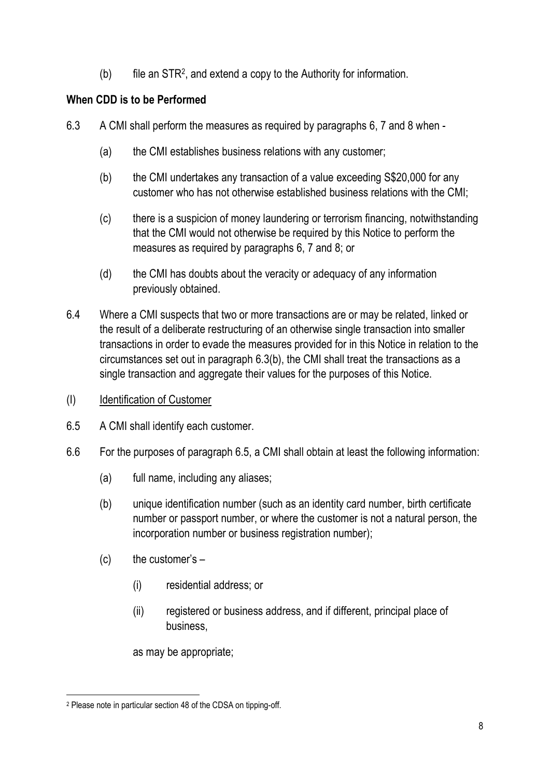$(b)$  file an STR<sup>2</sup>, and extend a copy to the Authority for information.

## When CDD is to be Performed

- 6.3 A CMI shall perform the measures as required by paragraphs 6, 7 and 8 when
	- (a) the CMI establishes business relations with any customer;
	- (b) the CMI undertakes any transaction of a value exceeding S\$20,000 for any customer who has not otherwise established business relations with the CMI;
	- (c) there is a suspicion of money laundering or terrorism financing, notwithstanding that the CMI would not otherwise be required by this Notice to perform the measures as required by paragraphs 6, 7 and 8; or
	- (d) the CMI has doubts about the veracity or adequacy of any information previously obtained.
- 6.4 Where a CMI suspects that two or more transactions are or may be related, linked or the result of a deliberate restructuring of an otherwise single transaction into smaller transactions in order to evade the measures provided for in this Notice in relation to the circumstances set out in paragraph 6.3(b), the CMI shall treat the transactions as a single transaction and aggregate their values for the purposes of this Notice.
- (I) Identification of Customer
- 6.5 A CMI shall identify each customer.
- 6.6 For the purposes of paragraph 6.5, a CMI shall obtain at least the following information:
	- (a) full name, including any aliases;
	- (b) unique identification number (such as an identity card number, birth certificate number or passport number, or where the customer is not a natural person, the incorporation number or business registration number);
	- $(c)$  the customer's  $-$ 
		- (i) residential address; or
		- (ii) registered or business address, and if different, principal place of business,

as may be appropriate;

<sup>2</sup> Please note in particular section 48 of the CDSA on tipping-off.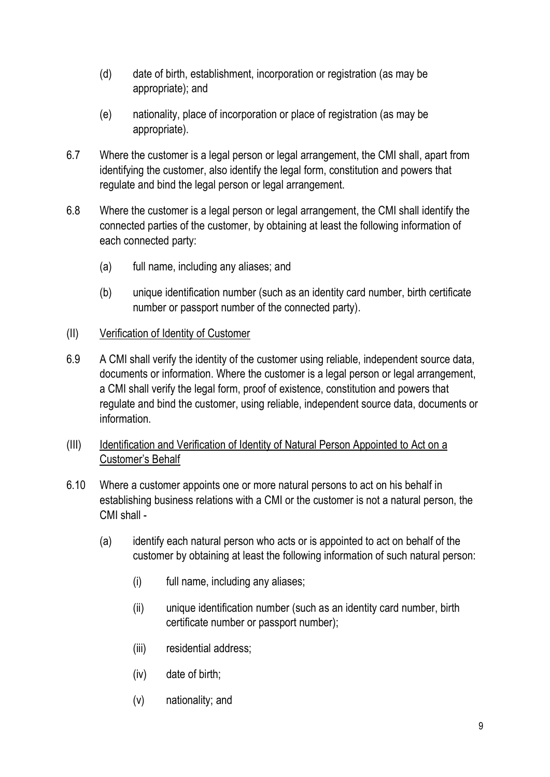- (d) date of birth, establishment, incorporation or registration (as may be appropriate); and
- (e) nationality, place of incorporation or place of registration (as may be appropriate).
- 6.7 Where the customer is a legal person or legal arrangement, the CMI shall, apart from identifying the customer, also identify the legal form, constitution and powers that regulate and bind the legal person or legal arrangement.
- 6.8 Where the customer is a legal person or legal arrangement, the CMI shall identify the connected parties of the customer, by obtaining at least the following information of each connected party:
	- (a) full name, including any aliases; and
	- (b) unique identification number (such as an identity card number, birth certificate number or passport number of the connected party).
- (II) Verification of Identity of Customer
- 6.9 A CMI shall verify the identity of the customer using reliable, independent source data, documents or information. Where the customer is a legal person or legal arrangement, a CMI shall verify the legal form, proof of existence, constitution and powers that regulate and bind the customer, using reliable, independent source data, documents or information.
- (III) Identification and Verification of Identity of Natural Person Appointed to Act on a Customer's Behalf
- 6.10 Where a customer appoints one or more natural persons to act on his behalf in establishing business relations with a CMI or the customer is not a natural person, the CMI shall -
	- (a) identify each natural person who acts or is appointed to act on behalf of the customer by obtaining at least the following information of such natural person:
		- (i) full name, including any aliases;
		- (ii) unique identification number (such as an identity card number, birth certificate number or passport number);
		- (iii) residential address;
		- (iv) date of birth;
		- (v) nationality; and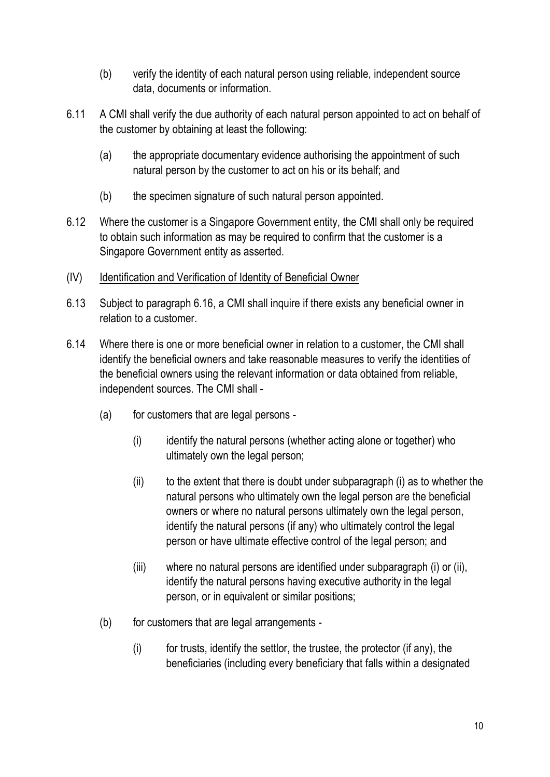- (b) verify the identity of each natural person using reliable, independent source data, documents or information.
- 6.11 A CMI shall verify the due authority of each natural person appointed to act on behalf of the customer by obtaining at least the following:
	- (a) the appropriate documentary evidence authorising the appointment of such natural person by the customer to act on his or its behalf; and
	- (b) the specimen signature of such natural person appointed.
- 6.12 Where the customer is a Singapore Government entity, the CMI shall only be required to obtain such information as may be required to confirm that the customer is a Singapore Government entity as asserted.
- (IV) Identification and Verification of Identity of Beneficial Owner
- 6.13 Subject to paragraph 6.16, a CMI shall inquire if there exists any beneficial owner in relation to a customer.
- 6.14 Where there is one or more beneficial owner in relation to a customer, the CMI shall identify the beneficial owners and take reasonable measures to verify the identities of the beneficial owners using the relevant information or data obtained from reliable, independent sources. The CMI shall -
	- (a) for customers that are legal persons
		- (i) identify the natural persons (whether acting alone or together) who ultimately own the legal person;
		- $(i)$  to the extent that there is doubt under subparagraph  $(i)$  as to whether the natural persons who ultimately own the legal person are the beneficial owners or where no natural persons ultimately own the legal person, identify the natural persons (if any) who ultimately control the legal person or have ultimate effective control of the legal person; and
		- (iii) where no natural persons are identified under subparagraph (i) or (ii), identify the natural persons having executive authority in the legal person, or in equivalent or similar positions;
	- (b) for customers that are legal arrangements
		- (i) for trusts, identify the settlor, the trustee, the protector (if any), the beneficiaries (including every beneficiary that falls within a designated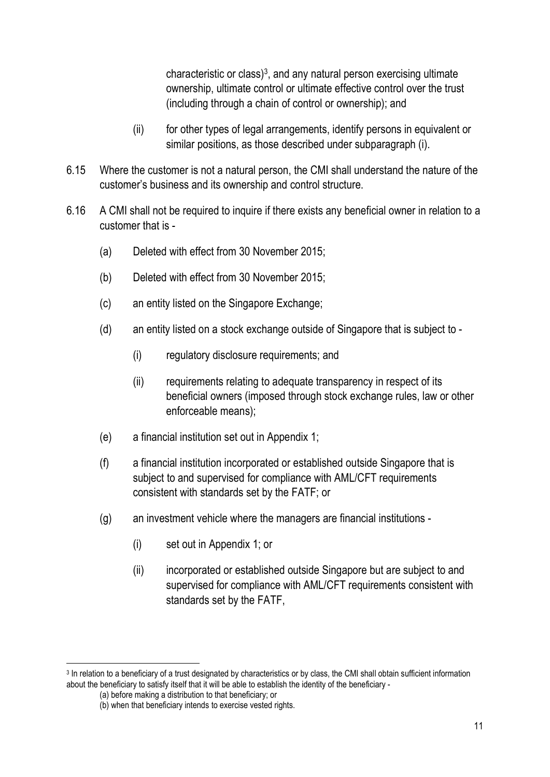characteristic or class) $3$ , and any natural person exercising ultimate ownership, ultimate control or ultimate effective control over the trust (including through a chain of control or ownership); and

- (ii) for other types of legal arrangements, identify persons in equivalent or similar positions, as those described under subparagraph (i).
- 6.15 Where the customer is not a natural person, the CMI shall understand the nature of the customer's business and its ownership and control structure.
- 6.16 A CMI shall not be required to inquire if there exists any beneficial owner in relation to a customer that is -
	- (a) Deleted with effect from 30 November 2015;
	- (b) Deleted with effect from 30 November 2015;
	- (c) an entity listed on the Singapore Exchange;
	- (d) an entity listed on a stock exchange outside of Singapore that is subject to
		- (i) regulatory disclosure requirements; and
		- (ii) requirements relating to adequate transparency in respect of its beneficial owners (imposed through stock exchange rules, law or other enforceable means);
	- (e) a financial institution set out in Appendix 1;
	- (f) a financial institution incorporated or established outside Singapore that is subject to and supervised for compliance with AML/CFT requirements consistent with standards set by the FATF; or
	- (g) an investment vehicle where the managers are financial institutions
		- (i) set out in Appendix 1; or
		- (ii) incorporated or established outside Singapore but are subject to and supervised for compliance with AML/CFT requirements consistent with standards set by the FATF,

<sup>&</sup>lt;sup>3</sup> In relation to a beneficiary of a trust designated by characteristics or by class, the CMI shall obtain sufficient information about the beneficiary to satisfy itself that it will be able to establish the identity of the beneficiary -

<sup>(</sup>a) before making a distribution to that beneficiary; or

<sup>(</sup>b) when that beneficiary intends to exercise vested rights.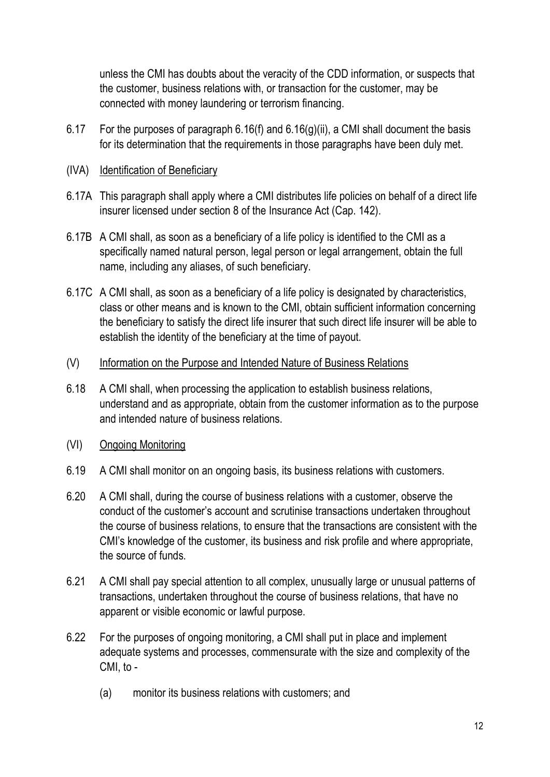unless the CMI has doubts about the veracity of the CDD information, or suspects that the customer, business relations with, or transaction for the customer, may be connected with money laundering or terrorism financing.

- 6.17 For the purposes of paragraph 6.16(f) and  $6.16(g)(ii)$ , a CMI shall document the basis for its determination that the requirements in those paragraphs have been duly met.
- (IVA) Identification of Beneficiary
- 6.17A This paragraph shall apply where a CMI distributes life policies on behalf of a direct life insurer licensed under section 8 of the Insurance Act (Cap. 142).
- 6.17B A CMI shall, as soon as a beneficiary of a life policy is identified to the CMI as a specifically named natural person, legal person or legal arrangement, obtain the full name, including any aliases, of such beneficiary.
- 6.17C A CMI shall, as soon as a beneficiary of a life policy is designated by characteristics, class or other means and is known to the CMI, obtain sufficient information concerning the beneficiary to satisfy the direct life insurer that such direct life insurer will be able to establish the identity of the beneficiary at the time of payout.
- (V) Information on the Purpose and Intended Nature of Business Relations
- 6.18 A CMI shall, when processing the application to establish business relations, understand and as appropriate, obtain from the customer information as to the purpose and intended nature of business relations.
- (VI) Ongoing Monitoring
- 6.19 A CMI shall monitor on an ongoing basis, its business relations with customers.
- 6.20 A CMI shall, during the course of business relations with a customer, observe the conduct of the customer's account and scrutinise transactions undertaken throughout the course of business relations, to ensure that the transactions are consistent with the CMI's knowledge of the customer, its business and risk profile and where appropriate, the source of funds.
- 6.21 A CMI shall pay special attention to all complex, unusually large or unusual patterns of transactions, undertaken throughout the course of business relations, that have no apparent or visible economic or lawful purpose.
- 6.22 For the purposes of ongoing monitoring, a CMI shall put in place and implement adequate systems and processes, commensurate with the size and complexity of the CMI, to -
	- (a) monitor its business relations with customers; and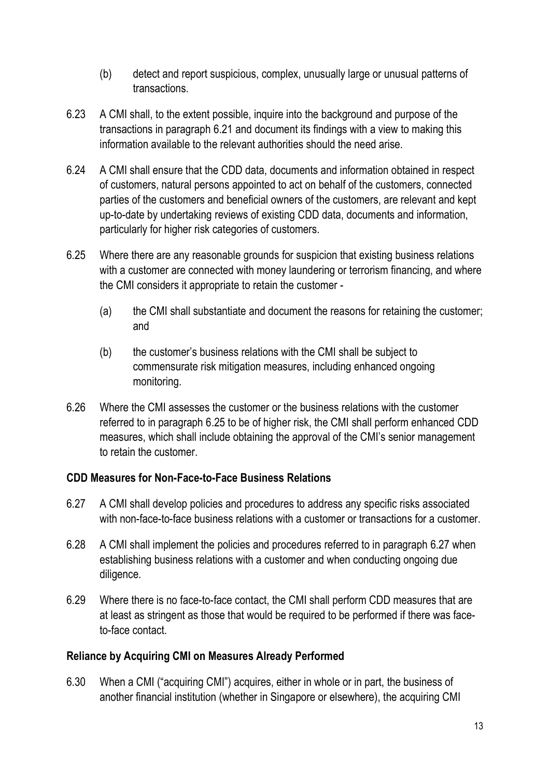- (b) detect and report suspicious, complex, unusually large or unusual patterns of transactions.
- 6.23 A CMI shall, to the extent possible, inquire into the background and purpose of the transactions in paragraph 6.21 and document its findings with a view to making this information available to the relevant authorities should the need arise.
- 6.24 A CMI shall ensure that the CDD data, documents and information obtained in respect of customers, natural persons appointed to act on behalf of the customers, connected parties of the customers and beneficial owners of the customers, are relevant and kept up-to-date by undertaking reviews of existing CDD data, documents and information, particularly for higher risk categories of customers.
- 6.25 Where there are any reasonable grounds for suspicion that existing business relations with a customer are connected with money laundering or terrorism financing, and where the CMI considers it appropriate to retain the customer -
	- (a) the CMI shall substantiate and document the reasons for retaining the customer; and
	- (b) the customer's business relations with the CMI shall be subject to commensurate risk mitigation measures, including enhanced ongoing monitoring.
- 6.26 Where the CMI assesses the customer or the business relations with the customer referred to in paragraph 6.25 to be of higher risk, the CMI shall perform enhanced CDD measures, which shall include obtaining the approval of the CMI's senior management to retain the customer.

## CDD Measures for Non-Face-to-Face Business Relations

- 6.27 A CMI shall develop policies and procedures to address any specific risks associated with non-face-to-face business relations with a customer or transactions for a customer.
- 6.28 A CMI shall implement the policies and procedures referred to in paragraph 6.27 when establishing business relations with a customer and when conducting ongoing due diligence.
- 6.29 Where there is no face-to-face contact, the CMI shall perform CDD measures that are at least as stringent as those that would be required to be performed if there was faceto-face contact.

#### Reliance by Acquiring CMI on Measures Already Performed

6.30 When a CMI ("acquiring CMI") acquires, either in whole or in part, the business of another financial institution (whether in Singapore or elsewhere), the acquiring CMI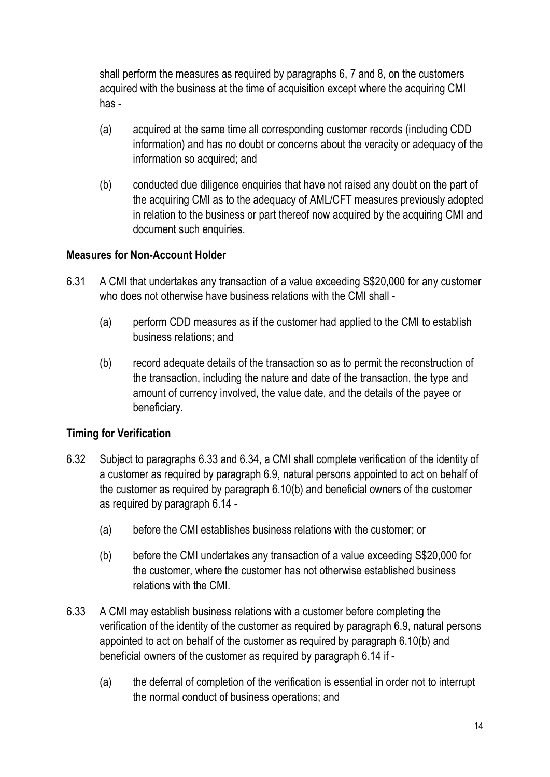shall perform the measures as required by paragraphs 6, 7 and 8, on the customers acquired with the business at the time of acquisition except where the acquiring CMI has -

- (a) acquired at the same time all corresponding customer records (including CDD information) and has no doubt or concerns about the veracity or adequacy of the information so acquired; and
- (b) conducted due diligence enquiries that have not raised any doubt on the part of the acquiring CMI as to the adequacy of AML/CFT measures previously adopted in relation to the business or part thereof now acquired by the acquiring CMI and document such enquiries.

## Measures for Non-Account Holder

- 6.31 A CMI that undertakes any transaction of a value exceeding S\$20,000 for any customer who does not otherwise have business relations with the CMI shall -
	- (a) perform CDD measures as if the customer had applied to the CMI to establish business relations; and
	- (b) record adequate details of the transaction so as to permit the reconstruction of the transaction, including the nature and date of the transaction, the type and amount of currency involved, the value date, and the details of the payee or beneficiary.

## Timing for Verification

- 6.32 Subject to paragraphs 6.33 and 6.34, a CMI shall complete verification of the identity of a customer as required by paragraph 6.9, natural persons appointed to act on behalf of the customer as required by paragraph 6.10(b) and beneficial owners of the customer as required by paragraph 6.14 -
	- (a) before the CMI establishes business relations with the customer; or
	- (b) before the CMI undertakes any transaction of a value exceeding S\$20,000 for the customer, where the customer has not otherwise established business relations with the CMI.
- 6.33 A CMI may establish business relations with a customer before completing the verification of the identity of the customer as required by paragraph 6.9, natural persons appointed to act on behalf of the customer as required by paragraph 6.10(b) and beneficial owners of the customer as required by paragraph 6.14 if -
	- (a) the deferral of completion of the verification is essential in order not to interrupt the normal conduct of business operations; and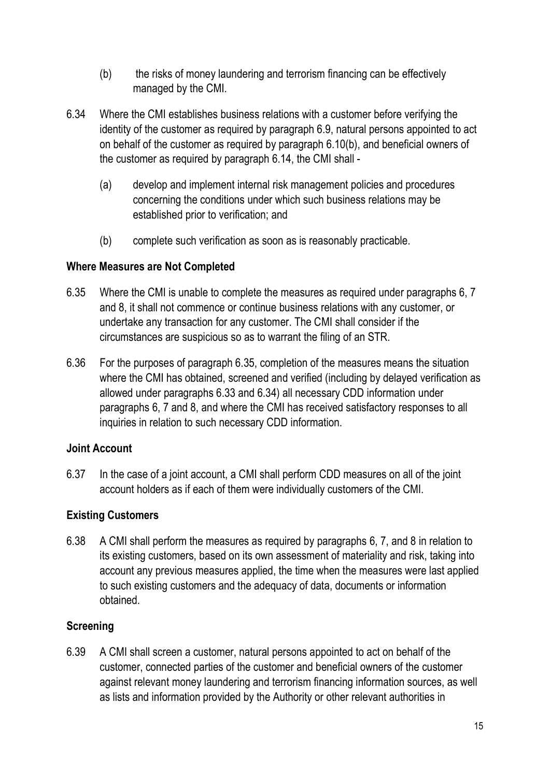- (b) the risks of money laundering and terrorism financing can be effectively managed by the CMI.
- 6.34 Where the CMI establishes business relations with a customer before verifying the identity of the customer as required by paragraph 6.9, natural persons appointed to act on behalf of the customer as required by paragraph 6.10(b), and beneficial owners of the customer as required by paragraph 6.14, the CMI shall -
	- (a) develop and implement internal risk management policies and procedures concerning the conditions under which such business relations may be established prior to verification; and
	- (b) complete such verification as soon as is reasonably practicable.

#### Where Measures are Not Completed

- 6.35 Where the CMI is unable to complete the measures as required under paragraphs 6, 7 and 8, it shall not commence or continue business relations with any customer, or undertake any transaction for any customer. The CMI shall consider if the circumstances are suspicious so as to warrant the filing of an STR.
- 6.36 For the purposes of paragraph 6.35, completion of the measures means the situation where the CMI has obtained, screened and verified (including by delayed verification as allowed under paragraphs 6.33 and 6.34) all necessary CDD information under paragraphs 6, 7 and 8, and where the CMI has received satisfactory responses to all inquiries in relation to such necessary CDD information.

## Joint Account

6.37 In the case of a joint account, a CMI shall perform CDD measures on all of the joint account holders as if each of them were individually customers of the CMI.

## Existing Customers

6.38 A CMI shall perform the measures as required by paragraphs 6, 7, and 8 in relation to its existing customers, based on its own assessment of materiality and risk, taking into account any previous measures applied, the time when the measures were last applied to such existing customers and the adequacy of data, documents or information obtained.

## **Screening**

6.39 A CMI shall screen a customer, natural persons appointed to act on behalf of the customer, connected parties of the customer and beneficial owners of the customer against relevant money laundering and terrorism financing information sources, as well as lists and information provided by the Authority or other relevant authorities in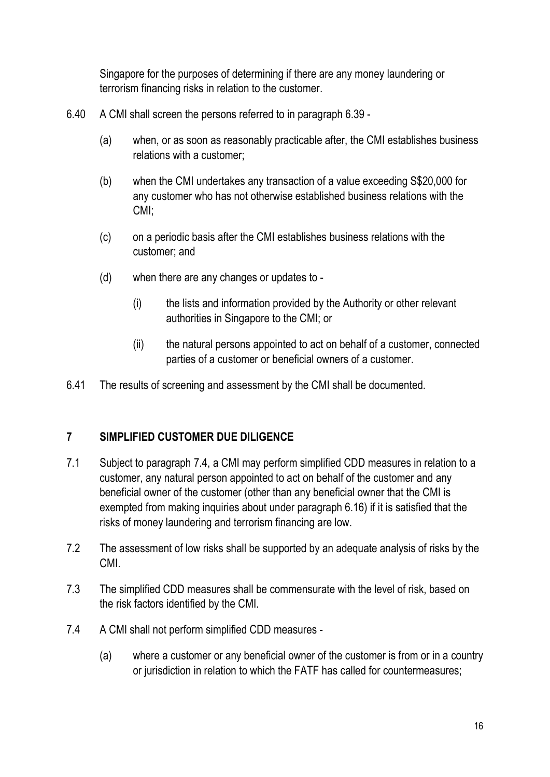Singapore for the purposes of determining if there are any money laundering or terrorism financing risks in relation to the customer.

- 6.40 A CMI shall screen the persons referred to in paragraph 6.39
	- (a) when, or as soon as reasonably practicable after, the CMI establishes business relations with a customer;
	- (b) when the CMI undertakes any transaction of a value exceeding S\$20,000 for any customer who has not otherwise established business relations with the CMI;
	- (c) on a periodic basis after the CMI establishes business relations with the customer; and
	- (d) when there are any changes or updates to
		- (i) the lists and information provided by the Authority or other relevant authorities in Singapore to the CMI; or
		- (ii) the natural persons appointed to act on behalf of a customer, connected parties of a customer or beneficial owners of a customer.
- 6.41 The results of screening and assessment by the CMI shall be documented.

## 7 SIMPLIFIED CUSTOMER DUE DILIGENCE

- 7.1 Subject to paragraph 7.4, a CMI may perform simplified CDD measures in relation to a customer, any natural person appointed to act on behalf of the customer and any beneficial owner of the customer (other than any beneficial owner that the CMI is exempted from making inquiries about under paragraph 6.16) if it is satisfied that the risks of money laundering and terrorism financing are low.
- 7.2 The assessment of low risks shall be supported by an adequate analysis of risks by the CMI.
- 7.3 The simplified CDD measures shall be commensurate with the level of risk, based on the risk factors identified by the CMI.
- 7.4 A CMI shall not perform simplified CDD measures
	- (a) where a customer or any beneficial owner of the customer is from or in a country or jurisdiction in relation to which the FATF has called for countermeasures;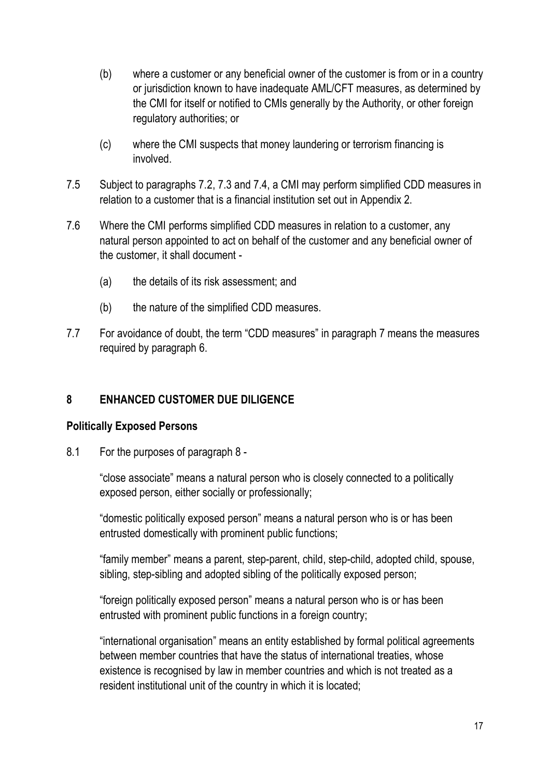- (b) where a customer or any beneficial owner of the customer is from or in a country or jurisdiction known to have inadequate AML/CFT measures, as determined by the CMI for itself or notified to CMIs generally by the Authority, or other foreign regulatory authorities; or
- (c) where the CMI suspects that money laundering or terrorism financing is involved.
- 7.5 Subject to paragraphs 7.2, 7.3 and 7.4, a CMI may perform simplified CDD measures in relation to a customer that is a financial institution set out in Appendix 2.
- 7.6 Where the CMI performs simplified CDD measures in relation to a customer, any natural person appointed to act on behalf of the customer and any beneficial owner of the customer, it shall document -
	- (a) the details of its risk assessment; and
	- (b) the nature of the simplified CDD measures.
- 7.7 For avoidance of doubt, the term "CDD measures" in paragraph 7 means the measures required by paragraph 6.

## 8 ENHANCED CUSTOMER DUE DILIGENCE

#### Politically Exposed Persons

8.1 For the purposes of paragraph 8 -

"close associate" means a natural person who is closely connected to a politically exposed person, either socially or professionally;

"domestic politically exposed person" means a natural person who is or has been entrusted domestically with prominent public functions;

"family member" means a parent, step-parent, child, step-child, adopted child, spouse, sibling, step-sibling and adopted sibling of the politically exposed person;

"foreign politically exposed person" means a natural person who is or has been entrusted with prominent public functions in a foreign country;

"international organisation" means an entity established by formal political agreements between member countries that have the status of international treaties, whose existence is recognised by law in member countries and which is not treated as a resident institutional unit of the country in which it is located;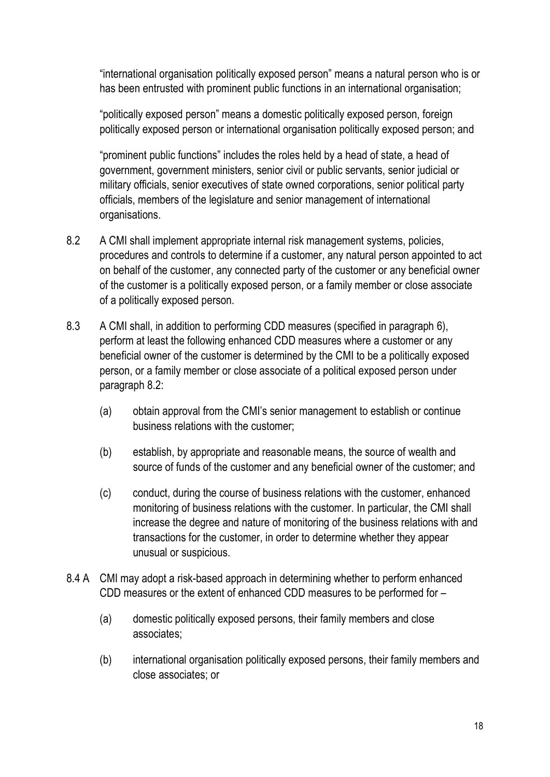"international organisation politically exposed person" means a natural person who is or has been entrusted with prominent public functions in an international organisation;

"politically exposed person" means a domestic politically exposed person, foreign politically exposed person or international organisation politically exposed person; and

"prominent public functions" includes the roles held by a head of state, a head of government, government ministers, senior civil or public servants, senior judicial or military officials, senior executives of state owned corporations, senior political party officials, members of the legislature and senior management of international organisations.

- 8.2 A CMI shall implement appropriate internal risk management systems, policies, procedures and controls to determine if a customer, any natural person appointed to act on behalf of the customer, any connected party of the customer or any beneficial owner of the customer is a politically exposed person, or a family member or close associate of a politically exposed person.
- 8.3 A CMI shall, in addition to performing CDD measures (specified in paragraph 6), perform at least the following enhanced CDD measures where a customer or any beneficial owner of the customer is determined by the CMI to be a politically exposed person, or a family member or close associate of a political exposed person under paragraph 8.2:
	- (a) obtain approval from the CMI's senior management to establish or continue business relations with the customer;
	- (b) establish, by appropriate and reasonable means, the source of wealth and source of funds of the customer and any beneficial owner of the customer; and
	- (c) conduct, during the course of business relations with the customer, enhanced monitoring of business relations with the customer. In particular, the CMI shall increase the degree and nature of monitoring of the business relations with and transactions for the customer, in order to determine whether they appear unusual or suspicious.
- 8.4 A CMI may adopt a risk-based approach in determining whether to perform enhanced CDD measures or the extent of enhanced CDD measures to be performed for –
	- (a) domestic politically exposed persons, their family members and close associates;
	- (b) international organisation politically exposed persons, their family members and close associates; or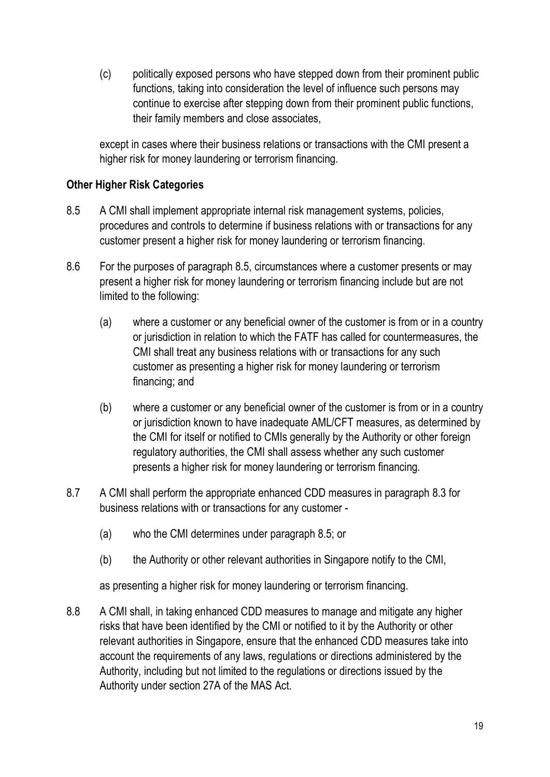(c) politically exposed persons who have stepped down from their prominent public functions, taking into consideration the level of influence such persons may continue to exercise after stepping down from their prominent public functions, their family members and close associates,

except in cases where their business relations or transactions with the CMI present a higher risk for money laundering or terrorism financing.

## Other Higher Risk Categories

- 8.5 A CMI shall implement appropriate internal risk management systems, policies, procedures and controls to determine if business relations with or transactions for any customer present a higher risk for money laundering or terrorism financing.
- 8.6 For the purposes of paragraph 8.5, circumstances where a customer presents or may present a higher risk for money laundering or terrorism financing include but are not limited to the following:
	- (a) where a customer or any beneficial owner of the customer is from or in a country or jurisdiction in relation to which the FATF has called for countermeasures, the CMI shall treat any business relations with or transactions for any such customer as presenting a higher risk for money laundering or terrorism financing; and
	- (b) where a customer or any beneficial owner of the customer is from or in a country or jurisdiction known to have inadequate AML/CFT measures, as determined by the CMI for itself or notified to CMIs generally by the Authority or other foreign regulatory authorities, the CMI shall assess whether any such customer presents a higher risk for money laundering or terrorism financing.
- 8.7 A CMI shall perform the appropriate enhanced CDD measures in paragraph 8.3 for business relations with or transactions for any customer -
	- (a) who the CMI determines under paragraph 8.5; or
	- (b) the Authority or other relevant authorities in Singapore notify to the CMI,

as presenting a higher risk for money laundering or terrorism financing.

8.8 A CMI shall, in taking enhanced CDD measures to manage and mitigate any higher risks that have been identified by the CMI or notified to it by the Authority or other relevant authorities in Singapore, ensure that the enhanced CDD measures take into account the requirements of any laws, regulations or directions administered by the Authority, including but not limited to the regulations or directions issued by the Authority under section 27A of the MAS Act.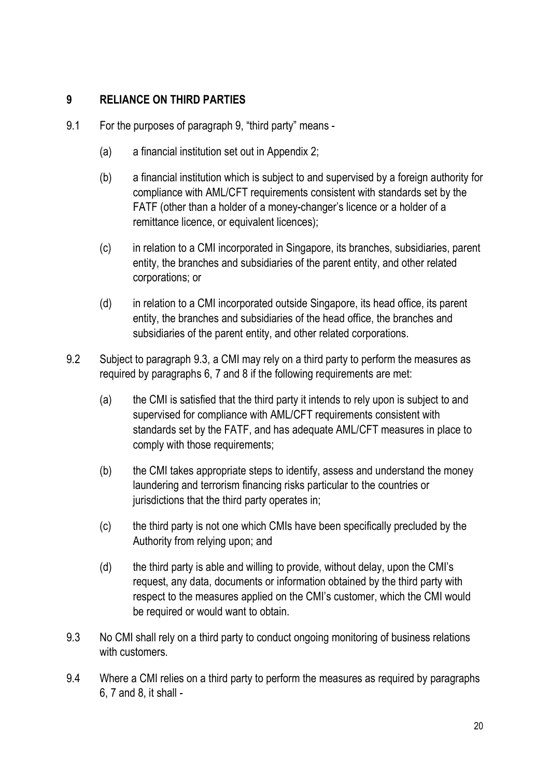# 9 RELIANCE ON THIRD PARTIES

- 9.1 For the purposes of paragraph 9, "third party" means
	- (a) a financial institution set out in Appendix 2;
	- (b) a financial institution which is subject to and supervised by a foreign authority for compliance with AML/CFT requirements consistent with standards set by the FATF (other than a holder of a money-changer's licence or a holder of a remittance licence, or equivalent licences);
	- (c) in relation to a CMI incorporated in Singapore, its branches, subsidiaries, parent entity, the branches and subsidiaries of the parent entity, and other related corporations; or
	- (d) in relation to a CMI incorporated outside Singapore, its head office, its parent entity, the branches and subsidiaries of the head office, the branches and subsidiaries of the parent entity, and other related corporations.
- 9.2 Subject to paragraph 9.3, a CMI may rely on a third party to perform the measures as required by paragraphs 6, 7 and 8 if the following requirements are met:
	- (a) the CMI is satisfied that the third party it intends to rely upon is subject to and supervised for compliance with AML/CFT requirements consistent with standards set by the FATF, and has adequate AML/CFT measures in place to comply with those requirements;
	- (b) the CMI takes appropriate steps to identify, assess and understand the money laundering and terrorism financing risks particular to the countries or jurisdictions that the third party operates in;
	- (c) the third party is not one which CMIs have been specifically precluded by the Authority from relying upon; and
	- (d) the third party is able and willing to provide, without delay, upon the CMI's request, any data, documents or information obtained by the third party with respect to the measures applied on the CMI's customer, which the CMI would be required or would want to obtain.
- 9.3 No CMI shall rely on a third party to conduct ongoing monitoring of business relations with customers.
- 9.4 Where a CMI relies on a third party to perform the measures as required by paragraphs 6, 7 and 8, it shall -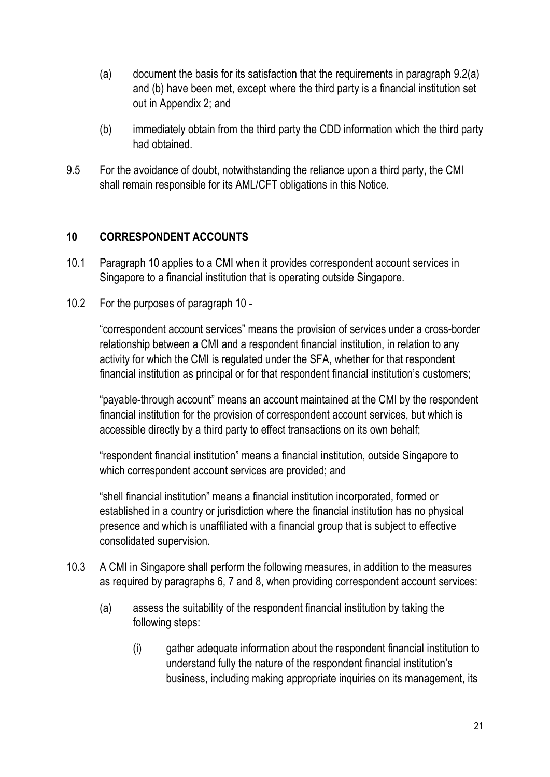- (a) document the basis for its satisfaction that the requirements in paragraph  $9.2(a)$ and (b) have been met, except where the third party is a financial institution set out in Appendix 2; and
- (b) immediately obtain from the third party the CDD information which the third party had obtained.
- 9.5 For the avoidance of doubt, notwithstanding the reliance upon a third party, the CMI shall remain responsible for its AML/CFT obligations in this Notice.

# 10 CORRESPONDENT ACCOUNTS

- 10.1 Paragraph 10 applies to a CMI when it provides correspondent account services in Singapore to a financial institution that is operating outside Singapore.
- 10.2 For the purposes of paragraph 10 -

"correspondent account services" means the provision of services under a cross-border relationship between a CMI and a respondent financial institution, in relation to any activity for which the CMI is regulated under the SFA, whether for that respondent financial institution as principal or for that respondent financial institution's customers;

"payable-through account" means an account maintained at the CMI by the respondent financial institution for the provision of correspondent account services, but which is accessible directly by a third party to effect transactions on its own behalf;

"respondent financial institution" means a financial institution, outside Singapore to which correspondent account services are provided; and

"shell financial institution" means a financial institution incorporated, formed or established in a country or jurisdiction where the financial institution has no physical presence and which is unaffiliated with a financial group that is subject to effective consolidated supervision.

- 10.3 A CMI in Singapore shall perform the following measures, in addition to the measures as required by paragraphs 6, 7 and 8, when providing correspondent account services:
	- (a) assess the suitability of the respondent financial institution by taking the following steps:
		- (i) gather adequate information about the respondent financial institution to understand fully the nature of the respondent financial institution's business, including making appropriate inquiries on its management, its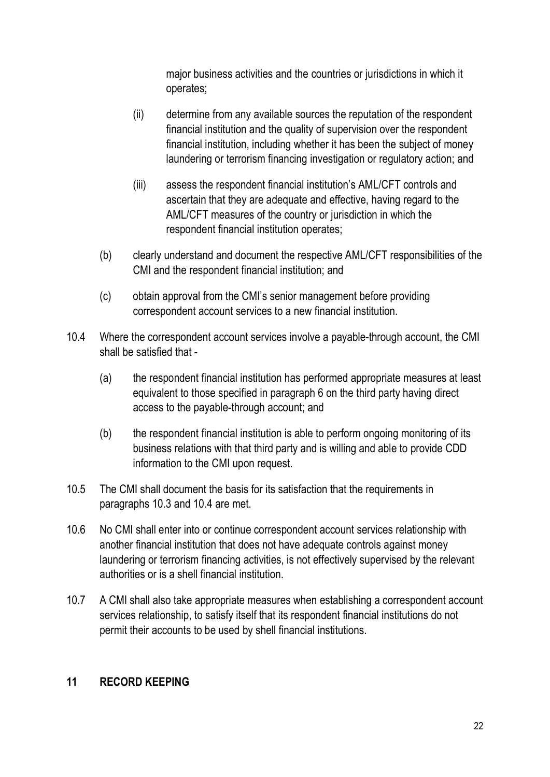major business activities and the countries or jurisdictions in which it operates;

- (ii) determine from any available sources the reputation of the respondent financial institution and the quality of supervision over the respondent financial institution, including whether it has been the subject of money laundering or terrorism financing investigation or regulatory action; and
- (iii) assess the respondent financial institution's AML/CFT controls and ascertain that they are adequate and effective, having regard to the AML/CFT measures of the country or jurisdiction in which the respondent financial institution operates;
- (b) clearly understand and document the respective AML/CFT responsibilities of the CMI and the respondent financial institution; and
- (c) obtain approval from the CMI's senior management before providing correspondent account services to a new financial institution.
- 10.4 Where the correspondent account services involve a payable-through account, the CMI shall be satisfied that -
	- (a) the respondent financial institution has performed appropriate measures at least equivalent to those specified in paragraph 6 on the third party having direct access to the payable-through account; and
	- (b) the respondent financial institution is able to perform ongoing monitoring of its business relations with that third party and is willing and able to provide CDD information to the CMI upon request.
- 10.5 The CMI shall document the basis for its satisfaction that the requirements in paragraphs 10.3 and 10.4 are met.
- 10.6 No CMI shall enter into or continue correspondent account services relationship with another financial institution that does not have adequate controls against money laundering or terrorism financing activities, is not effectively supervised by the relevant authorities or is a shell financial institution.
- 10.7 A CMI shall also take appropriate measures when establishing a correspondent account services relationship, to satisfy itself that its respondent financial institutions do not permit their accounts to be used by shell financial institutions.

#### 11 RECORD KEEPING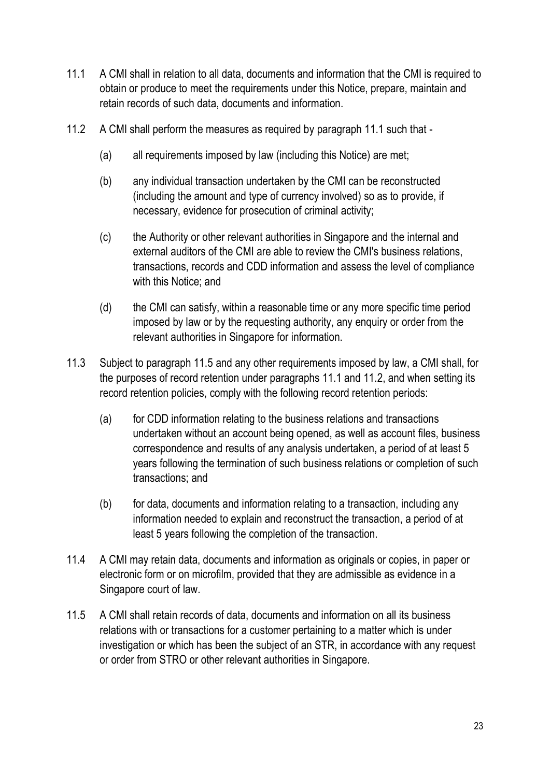- 11.1 A CMI shall in relation to all data, documents and information that the CMI is required to obtain or produce to meet the requirements under this Notice, prepare, maintain and retain records of such data, documents and information.
- 11.2 A CMI shall perform the measures as required by paragraph 11.1 such that
	- (a) all requirements imposed by law (including this Notice) are met;
	- (b) any individual transaction undertaken by the CMI can be reconstructed (including the amount and type of currency involved) so as to provide, if necessary, evidence for prosecution of criminal activity;
	- (c) the Authority or other relevant authorities in Singapore and the internal and external auditors of the CMI are able to review the CMI's business relations, transactions, records and CDD information and assess the level of compliance with this Notice; and
	- (d) the CMI can satisfy, within a reasonable time or any more specific time period imposed by law or by the requesting authority, any enquiry or order from the relevant authorities in Singapore for information.
- 11.3 Subject to paragraph 11.5 and any other requirements imposed by law, a CMI shall, for the purposes of record retention under paragraphs 11.1 and 11.2, and when setting its record retention policies, comply with the following record retention periods:
	- (a) for CDD information relating to the business relations and transactions undertaken without an account being opened, as well as account files, business correspondence and results of any analysis undertaken, a period of at least 5 years following the termination of such business relations or completion of such transactions; and
	- (b) for data, documents and information relating to a transaction, including any information needed to explain and reconstruct the transaction, a period of at least 5 years following the completion of the transaction.
- 11.4 A CMI may retain data, documents and information as originals or copies, in paper or electronic form or on microfilm, provided that they are admissible as evidence in a Singapore court of law.
- 11.5 A CMI shall retain records of data, documents and information on all its business relations with or transactions for a customer pertaining to a matter which is under investigation or which has been the subject of an STR, in accordance with any request or order from STRO or other relevant authorities in Singapore.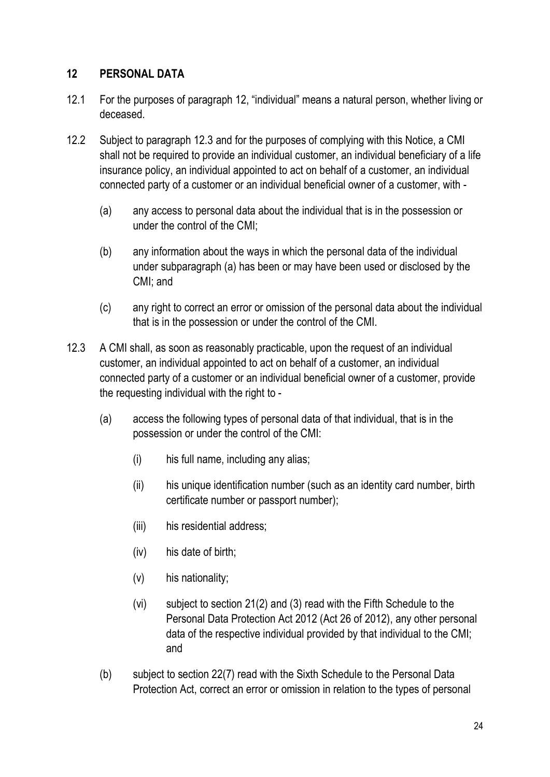## 12 PERSONAL DATA

- 12.1 For the purposes of paragraph 12, "individual" means a natural person, whether living or deceased.
- 12.2 Subject to paragraph 12.3 and for the purposes of complying with this Notice, a CMI shall not be required to provide an individual customer, an individual beneficiary of a life insurance policy, an individual appointed to act on behalf of a customer, an individual connected party of a customer or an individual beneficial owner of a customer, with -
	- (a) any access to personal data about the individual that is in the possession or under the control of the CMI;
	- (b) any information about the ways in which the personal data of the individual under subparagraph (a) has been or may have been used or disclosed by the CMI; and
	- (c) any right to correct an error or omission of the personal data about the individual that is in the possession or under the control of the CMI.
- 12.3 A CMI shall, as soon as reasonably practicable, upon the request of an individual customer, an individual appointed to act on behalf of a customer, an individual connected party of a customer or an individual beneficial owner of a customer, provide the requesting individual with the right to -
	- (a) access the following types of personal data of that individual, that is in the possession or under the control of the CMI:
		- (i) his full name, including any alias;
		- (ii) his unique identification number (such as an identity card number, birth certificate number or passport number);
		- (iii) his residential address;
		- (iv) his date of birth;
		- (v) his nationality;
		- (vi) subject to section 21(2) and (3) read with the Fifth Schedule to the Personal Data Protection Act 2012 (Act 26 of 2012), any other personal data of the respective individual provided by that individual to the CMI; and
	- (b) subject to section 22(7) read with the Sixth Schedule to the Personal Data Protection Act, correct an error or omission in relation to the types of personal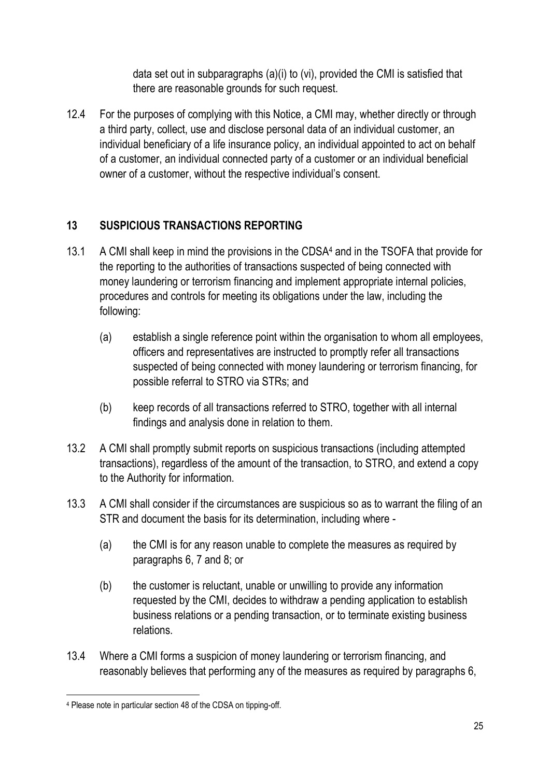data set out in subparagraphs (a)(i) to (vi), provided the CMI is satisfied that there are reasonable grounds for such request.

12.4 For the purposes of complying with this Notice, a CMI may, whether directly or through a third party, collect, use and disclose personal data of an individual customer, an individual beneficiary of a life insurance policy, an individual appointed to act on behalf of a customer, an individual connected party of a customer or an individual beneficial owner of a customer, without the respective individual's consent.

# 13 SUSPICIOUS TRANSACTIONS REPORTING

- 13.1 A CMI shall keep in mind the provisions in the CDSA4 and in the TSOFA that provide for the reporting to the authorities of transactions suspected of being connected with money laundering or terrorism financing and implement appropriate internal policies, procedures and controls for meeting its obligations under the law, including the following:
	- (a) establish a single reference point within the organisation to whom all employees, officers and representatives are instructed to promptly refer all transactions suspected of being connected with money laundering or terrorism financing, for possible referral to STRO via STRs; and
	- (b) keep records of all transactions referred to STRO, together with all internal findings and analysis done in relation to them.
- 13.2 A CMI shall promptly submit reports on suspicious transactions (including attempted transactions), regardless of the amount of the transaction, to STRO, and extend a copy to the Authority for information.
- 13.3 A CMI shall consider if the circumstances are suspicious so as to warrant the filing of an STR and document the basis for its determination, including where -
	- (a) the CMI is for any reason unable to complete the measures as required by paragraphs 6, 7 and 8; or
	- (b) the customer is reluctant, unable or unwilling to provide any information requested by the CMI, decides to withdraw a pending application to establish business relations or a pending transaction, or to terminate existing business relations.
- 13.4 Where a CMI forms a suspicion of money laundering or terrorism financing, and reasonably believes that performing any of the measures as required by paragraphs 6,

<sup>4</sup> Please note in particular section 48 of the CDSA on tipping-off.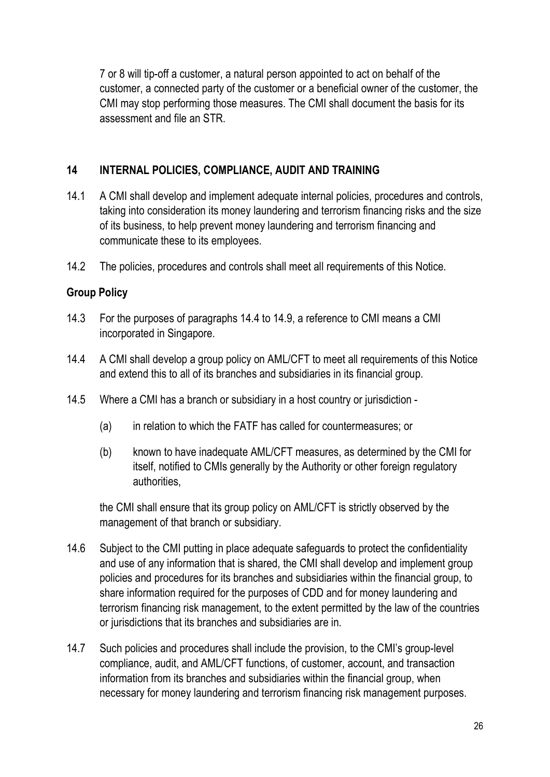7 or 8 will tip-off a customer, a natural person appointed to act on behalf of the customer, a connected party of the customer or a beneficial owner of the customer, the CMI may stop performing those measures. The CMI shall document the basis for its assessment and file an STR.

## 14 INTERNAL POLICIES, COMPLIANCE, AUDIT AND TRAINING

- 14.1 A CMI shall develop and implement adequate internal policies, procedures and controls, taking into consideration its money laundering and terrorism financing risks and the size of its business, to help prevent money laundering and terrorism financing and communicate these to its employees.
- 14.2 The policies, procedures and controls shall meet all requirements of this Notice.

## Group Policy

- 14.3 For the purposes of paragraphs 14.4 to 14.9, a reference to CMI means a CMI incorporated in Singapore.
- 14.4 A CMI shall develop a group policy on AML/CFT to meet all requirements of this Notice and extend this to all of its branches and subsidiaries in its financial group.
- 14.5 Where a CMI has a branch or subsidiary in a host country or jurisdiction
	- (a) in relation to which the FATF has called for countermeasures; or
	- (b) known to have inadequate AML/CFT measures, as determined by the CMI for itself, notified to CMIs generally by the Authority or other foreign regulatory authorities,

the CMI shall ensure that its group policy on AML/CFT is strictly observed by the management of that branch or subsidiary.

- 14.6 Subject to the CMI putting in place adequate safeguards to protect the confidentiality and use of any information that is shared, the CMI shall develop and implement group policies and procedures for its branches and subsidiaries within the financial group, to share information required for the purposes of CDD and for money laundering and terrorism financing risk management, to the extent permitted by the law of the countries or jurisdictions that its branches and subsidiaries are in.
- 14.7 Such policies and procedures shall include the provision, to the CMI's group-level compliance, audit, and AML/CFT functions, of customer, account, and transaction information from its branches and subsidiaries within the financial group, when necessary for money laundering and terrorism financing risk management purposes.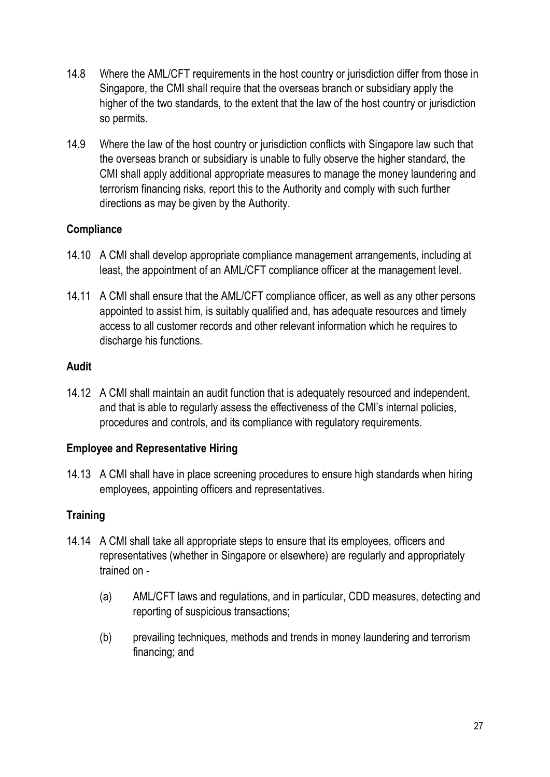- 14.8 Where the AML/CFT requirements in the host country or jurisdiction differ from those in Singapore, the CMI shall require that the overseas branch or subsidiary apply the higher of the two standards, to the extent that the law of the host country or jurisdiction so permits.
- 14.9 Where the law of the host country or jurisdiction conflicts with Singapore law such that the overseas branch or subsidiary is unable to fully observe the higher standard, the CMI shall apply additional appropriate measures to manage the money laundering and terrorism financing risks, report this to the Authority and comply with such further directions as may be given by the Authority.

## **Compliance**

- 14.10 A CMI shall develop appropriate compliance management arrangements, including at least, the appointment of an AML/CFT compliance officer at the management level.
- 14.11 A CMI shall ensure that the AML/CFT compliance officer, as well as any other persons appointed to assist him, is suitably qualified and, has adequate resources and timely access to all customer records and other relevant information which he requires to discharge his functions.

#### Audit

14.12 A CMI shall maintain an audit function that is adequately resourced and independent, and that is able to regularly assess the effectiveness of the CMI's internal policies, procedures and controls, and its compliance with regulatory requirements.

## Employee and Representative Hiring

14.13 A CMI shall have in place screening procedures to ensure high standards when hiring employees, appointing officers and representatives.

## **Training**

- 14.14 A CMI shall take all appropriate steps to ensure that its employees, officers and representatives (whether in Singapore or elsewhere) are regularly and appropriately trained on -
	- (a) AML/CFT laws and regulations, and in particular, CDD measures, detecting and reporting of suspicious transactions;
	- (b) prevailing techniques, methods and trends in money laundering and terrorism financing; and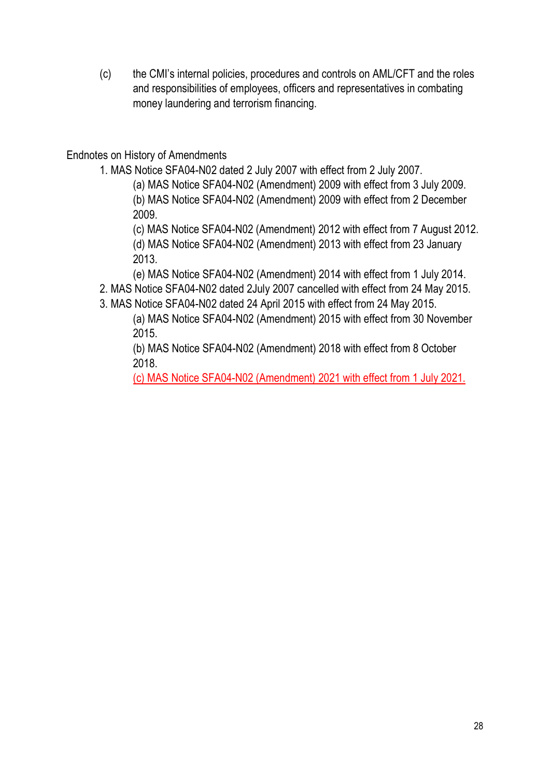(c) the CMI's internal policies, procedures and controls on AML/CFT and the roles and responsibilities of employees, officers and representatives in combating money laundering and terrorism financing.

Endnotes on History of Amendments

1. MAS Notice SFA04-N02 dated 2 July 2007 with effect from 2 July 2007.

(a) MAS Notice SFA04-N02 (Amendment) 2009 with effect from 3 July 2009. (b) MAS Notice SFA04-N02 (Amendment) 2009 with effect from 2 December 2009.

(c) MAS Notice SFA04-N02 (Amendment) 2012 with effect from 7 August 2012. (d) MAS Notice SFA04-N02 (Amendment) 2013 with effect from 23 January 2013.

(e) MAS Notice SFA04-N02 (Amendment) 2014 with effect from 1 July 2014.

2. MAS Notice SFA04-N02 dated 2July 2007 cancelled with effect from 24 May 2015.

3. MAS Notice SFA04-N02 dated 24 April 2015 with effect from 24 May 2015.

(a) MAS Notice SFA04-N02 (Amendment) 2015 with effect from 30 November 2015.

(b) MAS Notice SFA04-N02 (Amendment) 2018 with effect from 8 October 2018.

(c) MAS Notice SFA04-N02 (Amendment) 2021 with effect from 1 July 2021.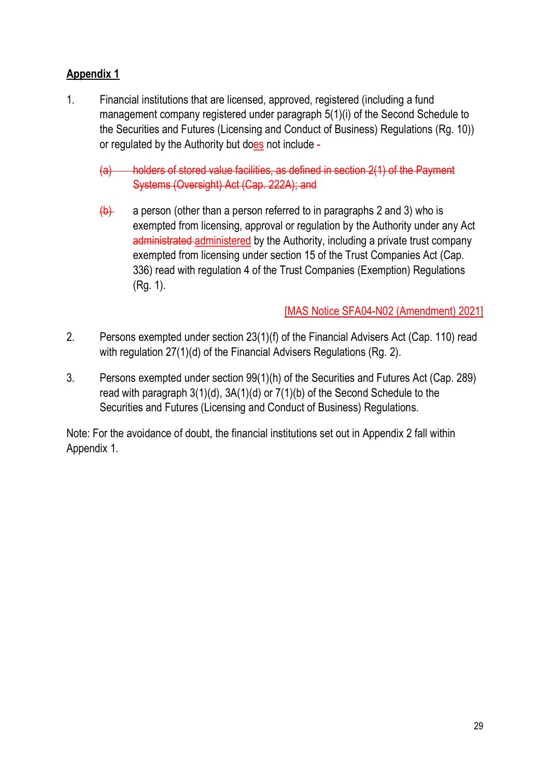# Appendix 1

1. Financial institutions that are licensed, approved, registered (including a fund management company registered under paragraph 5(1)(i) of the Second Schedule to the Securities and Futures (Licensing and Conduct of Business) Regulations (Rg. 10)) or regulated by the Authority but does not include -

(a) holders of stored value facilities, as defined in section 2(1) of the Payment Systems (Oversight) Act (Cap. 222A); and

 $\left(\frac{b}{c}\right)$  a person (other than a person referred to in paragraphs 2 and 3) who is exempted from licensing, approval or regulation by the Authority under any Act administrated administered by the Authority, including a private trust company exempted from licensing under section 15 of the Trust Companies Act (Cap. 336) read with regulation 4 of the Trust Companies (Exemption) Regulations (Rg. 1).

[MAS Notice SFA04-N02 (Amendment) 2021]

- 2. Persons exempted under section 23(1)(f) of the Financial Advisers Act (Cap. 110) read with regulation 27(1)(d) of the Financial Advisers Regulations (Rg. 2).
- 3. Persons exempted under section 99(1)(h) of the Securities and Futures Act (Cap. 289) read with paragraph 3(1)(d), 3A(1)(d) or 7(1)(b) of the Second Schedule to the Securities and Futures (Licensing and Conduct of Business) Regulations.

Note: For the avoidance of doubt, the financial institutions set out in Appendix 2 fall within Appendix 1.